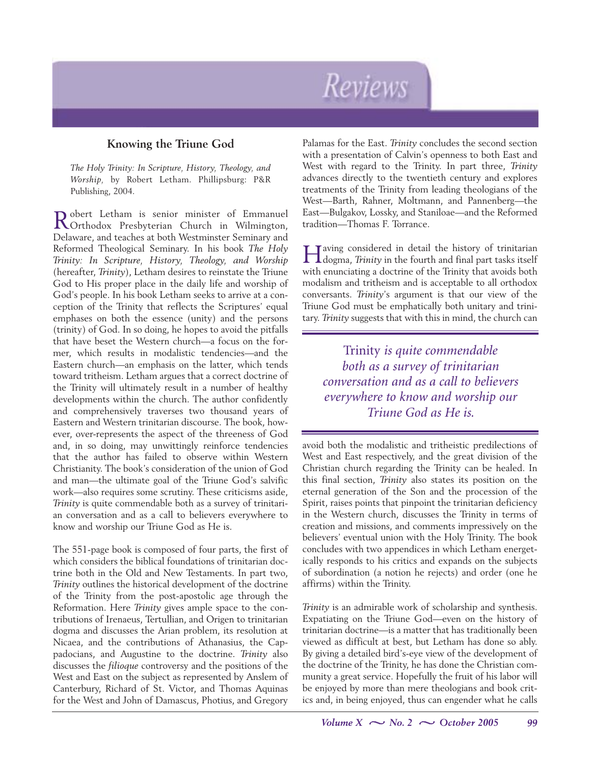# Reviews

# **Knowing the Triune God**

*The Holy Trinity: In Scripture, History, Theology, and Worship,* by Robert Letham. Phillipsburg: P&R Publishing, 2004.

Robert Letham is senior minister of Emmanuel Orthodox Presbyterian Church in Wilmington, Delaware, and teaches at both Westminster Seminary and Reformed Theological Seminary. In his book *The Holy Trinity: In Scripture, History, Theology, and Worship* (hereafter, *Trinity*), Letham desires to reinstate the Triune God to His proper place in the daily life and worship of God's people. In his book Letham seeks to arrive at a conception of the Trinity that reflects the Scriptures' equal emphases on both the essence (unity) and the persons (trinity) of God. In so doing, he hopes to avoid the pitfalls that have beset the Western church—a focus on the former, which results in modalistic tendencies—and the Eastern church—an emphasis on the latter, which tends toward tritheism. Letham argues that a correct doctrine of the Trinity will ultimately result in a number of healthy developments within the church. The author confidently and comprehensively traverses two thousand years of Eastern and Western trinitarian discourse. The book, however, over-represents the aspect of the threeness of God and, in so doing, may unwittingly reinforce tendencies that the author has failed to observe within Western Christianity. The book's consideration of the union of God and man—the ultimate goal of the Triune God's salvific work—also requires some scrutiny. These criticisms aside, *Trinity* is quite commendable both as a survey of trinitarian conversation and as a call to believers everywhere to know and worship our Triune God as He is.

The 551-page book is composed of four parts, the first of which considers the biblical foundations of trinitarian doctrine both in the Old and New Testaments. In part two, *Trinity* outlines the historical development of the doctrine of the Trinity from the post-apostolic age through the Reformation. Here *Trinity* gives ample space to the contributions of Irenaeus, Tertullian, and Origen to trinitarian dogma and discusses the Arian problem, its resolution at Nicaea, and the contributions of Athanasius, the Cappadocians, and Augustine to the doctrine. *Trinity* also discusses the *filioque* controversy and the positions of the West and East on the subject as represented by Anslem of Canterbury, Richard of St. Victor, and Thomas Aquinas for the West and John of Damascus, Photius, and Gregory

Palamas for the East. *Trinity* concludes the second section with a presentation of Calvin's openness to both East and West with regard to the Trinity. In part three, *Trinity* advances directly to the twentieth century and explores treatments of the Trinity from leading theologians of the West—Barth, Rahner, Moltmann, and Pannenberg—the East—Bulgakov, Lossky, and Staniloae—and the Reformed tradition—Thomas F. Torrance.

Having considered in detail the history of trinitarian dogma, *Trinity* in the fourth and final part tasks itself with enunciating a doctrine of the Trinity that avoids both modalism and tritheism and is acceptable to all orthodox conversants. *Trinity*'s argument is that our view of the Triune God must be emphatically both unitary and trinitary. *Trinity* suggests that with this in mind, the church can

Trinity *is quite commendable both as a survey of trinitarian conversation and as a call to believers everywhere to know and worship our Triune God as He is.*

avoid both the modalistic and tritheistic predilections of West and East respectively, and the great division of the Christian church regarding the Trinity can be healed. In this final section, *Trinity* also states its position on the eternal generation of the Son and the procession of the Spirit, raises points that pinpoint the trinitarian deficiency in the Western church, discusses the Trinity in terms of creation and missions, and comments impressively on the believers' eventual union with the Holy Trinity. The book concludes with two appendices in which Letham energetically responds to his critics and expands on the subjects of subordination (a notion he rejects) and order (one he affirms) within the Trinity.

*Trinity* is an admirable work of scholarship and synthesis. Expatiating on the Triune God—even on the history of trinitarian doctrine—is a matter that has traditionally been viewed as difficult at best, but Letham has done so ably. By giving a detailed bird's-eye view of the development of the doctrine of the Trinity, he has done the Christian community a great service. Hopefully the fruit of his labor will be enjoyed by more than mere theologians and book critics and, in being enjoyed, thus can engender what he calls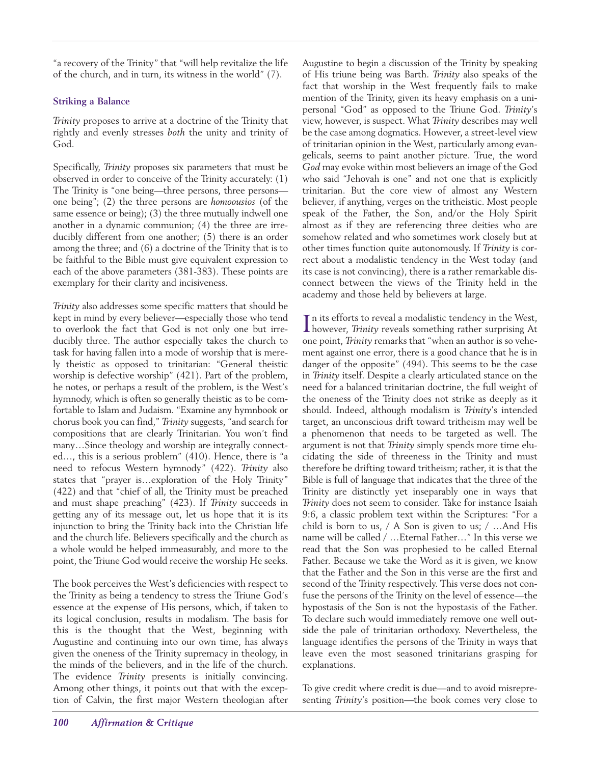"a recovery of the Trinity" that "will help revitalize the life of the church, and in turn, its witness in the world" (7).

## **Striking a Balance**

*Trinity* proposes to arrive at a doctrine of the Trinity that rightly and evenly stresses *both* the unity and trinity of God.

Specifically, *Trinity* proposes six parameters that must be observed in order to conceive of the Trinity accurately: (1) The Trinity is "one being—three persons, three persons one being"; (2) the three persons are *homoousios* (of the same essence or being); (3) the three mutually indwell one another in a dynamic communion; (4) the three are irreducibly different from one another; (5) there is an order among the three; and (6) a doctrine of the Trinity that is to be faithful to the Bible must give equivalent expression to each of the above parameters (381-383). These points are exemplary for their clarity and incisiveness.

*Trinity* also addresses some specific matters that should be kept in mind by every believer—especially those who tend to overlook the fact that God is not only one but irreducibly three. The author especially takes the church to task for having fallen into a mode of worship that is merely theistic as opposed to trinitarian: "General theistic worship is defective worship" (421). Part of the problem, he notes, or perhaps a result of the problem, is the West's hymnody, which is often so generally theistic as to be comfortable to Islam and Judaism. "Examine any hymnbook or chorus book you can find," *Trinity* suggests, "and search for compositions that are clearly Trinitarian. You won't find many…Since theology and worship are integrally connected…, this is a serious problem" (410). Hence, there is "a need to refocus Western hymnody" (422). *Trinity* also states that "prayer is…exploration of the Holy Trinity" (422) and that "chief of all, the Trinity must be preached and must shape preaching" (423). If *Trinity* succeeds in getting any of its message out, let us hope that it is its injunction to bring the Trinity back into the Christian life and the church life. Believers specifically and the church as a whole would be helped immeasurably, and more to the point, the Triune God would receive the worship He seeks.

The book perceives the West's deficiencies with respect to the Trinity as being a tendency to stress the Triune God's essence at the expense of His persons, which, if taken to its logical conclusion, results in modalism. The basis for this is the thought that the West, beginning with Augustine and continuing into our own time, has always given the oneness of the Trinity supremacy in theology, in the minds of the believers, and in the life of the church. The evidence *Trinity* presents is initially convincing. Among other things, it points out that with the exception of Calvin, the first major Western theologian after Augustine to begin a discussion of the Trinity by speaking of His triune being was Barth. *Trinity* also speaks of the fact that worship in the West frequently fails to make mention of the Trinity, given its heavy emphasis on a unipersonal "God" as opposed to the Triune God. *Trinity*'s view, however, is suspect. What *Trinity* describes may well be the case among dogmatics. However, a street-level view of trinitarian opinion in the West, particularly among evangelicals, seems to paint another picture. True, the word *God* may evoke within most believers an image of the God who said "Jehovah is one" and not one that is explicitly trinitarian. But the core view of almost any Western believer, if anything, verges on the tritheistic. Most people speak of the Father, the Son, and/or the Holy Spirit almost as if they are referencing three deities who are somehow related and who sometimes work closely but at other times function quite autonomously. If *Trinity* is correct about a modalistic tendency in the West today (and its case is not convincing), there is a rather remarkable disconnect between the views of the Trinity held in the academy and those held by believers at large.

In its efforts to reveal a modalistic tendency in the West,<br>however, Trinity reveals something rather surprising At however, *Trinity* reveals something rather surprising At one point, *Trinity* remarks that "when an author is so vehement against one error, there is a good chance that he is in danger of the opposite" (494). This seems to be the case in *Trinity* itself. Despite a clearly articulated stance on the need for a balanced trinitarian doctrine, the full weight of the oneness of the Trinity does not strike as deeply as it should. Indeed, although modalism is *Trinity*'s intended target, an unconscious drift toward tritheism may well be a phenomenon that needs to be targeted as well. The argument is not that *Trinity* simply spends more time elucidating the side of threeness in the Trinity and must therefore be drifting toward tritheism; rather, it is that the Bible is full of language that indicates that the three of the Trinity are distinctly yet inseparably one in ways that *Trinity* does not seem to consider. Take for instance Isaiah 9:6, a classic problem text within the Scriptures: "For a child is born to us, / A Son is given to us; / …And His name will be called / …Eternal Father…" In this verse we read that the Son was prophesied to be called Eternal Father. Because we take the Word as it is given, we know that the Father and the Son in this verse are the first and second of the Trinity respectively. This verse does not confuse the persons of the Trinity on the level of essence—the hypostasis of the Son is not the hypostasis of the Father. To declare such would immediately remove one well outside the pale of trinitarian orthodoxy. Nevertheless, the language identifies the persons of the Trinity in ways that leave even the most seasoned trinitarians grasping for explanations.

To give credit where credit is due—and to avoid misrepresenting *Trinity*'s position—the book comes very close to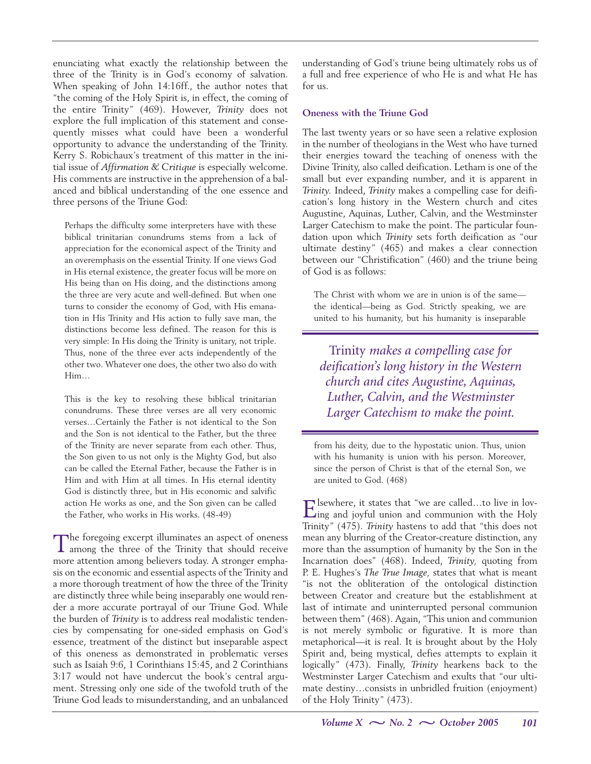enunciating what exactly the relationship between the three of the Trinity is in God's economy of salvation. When speaking of John 14:16ff., the author notes that "the coming of the Holy Spirit is, in effect, the coming of the entire Trinity" (469). However, *Trinity* does not explore the full implication of this statement and consequently misses what could have been a wonderful opportunity to advance the understanding of the Trinity. Kerry S. Robichaux's treatment of this matter in the initial issue of *Affirmation & Critique* is especially welcome. His comments are instructive in the apprehension of a balanced and biblical understanding of the one essence and three persons of the Triune God:

Perhaps the difficulty some interpreters have with these biblical trinitarian conundrums stems from a lack of appreciation for the economical aspect of the Trinity and an overemphasis on the essential Trinity. If one views God in His eternal existence, the greater focus will be more on His being than on His doing, and the distinctions among the three are very acute and well-defined. But when one turns to consider the economy of God, with His emanation in His Trinity and His action to fully save man, the distinctions become less defined. The reason for this is very simple: In His doing the Trinity is unitary, not triple. Thus, none of the three ever acts independently of the other two. Whatever one does, the other two also do with Him…

This is the key to resolving these biblical trinitarian conundrums. These three verses are all very economic verses…Certainly the Father is not identical to the Son and the Son is not identical to the Father, but the three of the Trinity are never separate from each other. Thus, the Son given to us not only is the Mighty God, but also can be called the Eternal Father, because the Father is in Him and with Him at all times. In His eternal identity God is distinctly three, but in His economic and salvific action He works as one, and the Son given can be called the Father, who works in His works. (48-49)

The foregoing excerpt illuminates an aspect of oneness among the three of the Trinity that should receive more attention among believers today. A stronger emphasis on the economic and essential aspects of the Trinity and a more thorough treatment of how the three of the Trinity are distinctly three while being inseparably one would render a more accurate portrayal of our Triune God. While the burden of *Trinity* is to address real modalistic tendencies by compensating for one-sided emphasis on God's essence, treatment of the distinct but inseparable aspect of this oneness as demonstrated in problematic verses such as Isaiah 9:6, 1 Corinthians 15:45, and 2 Corinthians 3:17 would not have undercut the book's central argument. Stressing only one side of the twofold truth of the Triune God leads to misunderstanding, and an unbalanced

understanding of God's triune being ultimately robs us of a full and free experience of who He is and what He has for us.

#### **Oneness with the Triune God**

The last twenty years or so have seen a relative explosion in the number of theologians in the West who have turned their energies toward the teaching of oneness with the Divine Trinity, also called deification. Letham is one of the small but ever expanding number, and it is apparent in *Trinity.* Indeed, *Trinity* makes a compelling case for deification's long history in the Western church and cites Augustine, Aquinas, Luther, Calvin, and the Westminster Larger Catechism to make the point. The particular foundation upon which *Trinity* sets forth deification as "our ultimate destiny" (465) and makes a clear connection between our "Christification" (460) and the triune being of God is as follows:

The Christ with whom we are in union is of the same the identical—being as God. Strictly speaking, we are united to his humanity, but his humanity is inseparable

Trinity *makes a compelling case for deification's long history in the Western church and cites Augustine, Aquinas, Luther, Calvin, and the Westminster Larger Catechism to make the point.*

from his deity, due to the hypostatic union. Thus, union with his humanity is union with his person. Moreover, since the person of Christ is that of the eternal Son, we are united to God. (468)

Elsewhere, it states that "we are called...to live in lov-<br>ling and joyful union and communion with the Holy Trinity" (475). *Trinity* hastens to add that "this does not mean any blurring of the Creator-creature distinction, any more than the assumption of humanity by the Son in the Incarnation does" (468). Indeed, *Trinity,* quoting from P. E. Hughes's *The True Image,* states that what is meant "is not the obliteration of the ontological distinction between Creator and creature but the establishment at last of intimate and uninterrupted personal communion between them" (468). Again, "This union and communion is not merely symbolic or figurative. It is more than metaphorical—it is real. It is brought about by the Holy Spirit and, being mystical, defies attempts to explain it logically" (473). Finally, *Trinity* hearkens back to the Westminster Larger Catechism and exults that "our ultimate destiny…consists in unbridled fruition (enjoyment) of the Holy Trinity" (473).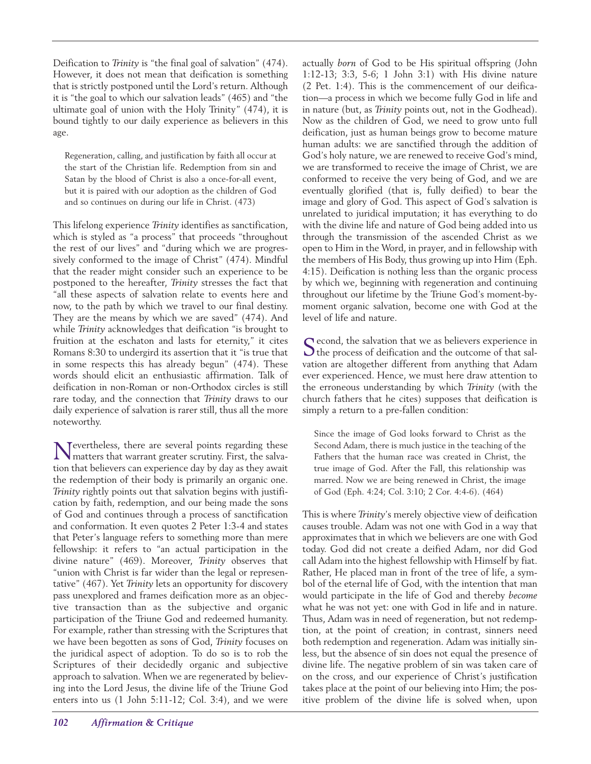Deification to *Trinity* is "the final goal of salvation" (474). However, it does not mean that deification is something that is strictly postponed until the Lord's return. Although it is "the goal to which our salvation leads" (465) and "the ultimate goal of union with the Holy Trinity" (474), it is bound tightly to our daily experience as believers in this age.

Regeneration, calling, and justification by faith all occur at the start of the Christian life. Redemption from sin and Satan by the blood of Christ is also a once-for-all event, but it is paired with our adoption as the children of God and so continues on during our life in Christ. (473)

This lifelong experience *Trinity* identifies as sanctification, which is styled as "a process" that proceeds "throughout the rest of our lives" and "during which we are progressively conformed to the image of Christ" (474). Mindful that the reader might consider such an experience to be postponed to the hereafter, *Trinity* stresses the fact that "all these aspects of salvation relate to events here and now, to the path by which we travel to our final destiny. They are the means by which we are saved" (474). And while *Trinity* acknowledges that deification "is brought to fruition at the eschaton and lasts for eternity," it cites Romans 8:30 to undergird its assertion that it "is true that in some respects this has already begun" (474). These words should elicit an enthusiastic affirmation. Talk of deification in non-Roman or non-Orthodox circles is still rare today, and the connection that *Trinity* draws to our daily experience of salvation is rarer still, thus all the more noteworthy.

Nevertheless, there are several points regarding these matters that warrant greater scrutiny. First, the salvation that believers can experience day by day as they await the redemption of their body is primarily an organic one. *Trinity* rightly points out that salvation begins with justification by faith, redemption, and our being made the sons of God and continues through a process of sanctification and conformation. It even quotes 2 Peter 1:3-4 and states that Peter's language refers to something more than mere fellowship: it refers to "an actual participation in the divine nature" (469). Moreover, *Trinity* observes that "union with Christ is far wider than the legal or representative" (467). Yet *Trinity* lets an opportunity for discovery pass unexplored and frames deification more as an objective transaction than as the subjective and organic participation of the Triune God and redeemed humanity. For example, rather than stressing with the Scriptures that we have been begotten as sons of God, *Trinity* focuses on the juridical aspect of adoption. To do so is to rob the Scriptures of their decidedly organic and subjective approach to salvation. When we are regenerated by believing into the Lord Jesus, the divine life of the Triune God enters into us (1 John 5:11-12; Col. 3:4), and we were

actually *born* of God to be His spiritual offspring (John 1:12-13; 3:3, 5-6; 1 John 3:1) with His divine nature (2 Pet. 1:4). This is the commencement of our deification—a process in which we become fully God in life and in nature (but, as *Trinity* points out, not in the Godhead). Now as the children of God, we need to grow unto full deification, just as human beings grow to become mature human adults: we are sanctified through the addition of God's holy nature, we are renewed to receive God's mind, we are transformed to receive the image of Christ, we are conformed to receive the very being of God, and we are eventually glorified (that is, fully deified) to bear the image and glory of God. This aspect of God's salvation is unrelated to juridical imputation; it has everything to do with the divine life and nature of God being added into us through the transmission of the ascended Christ as we open to Him in the Word, in prayer, and in fellowship with the members of His Body, thus growing up into Him (Eph. 4:15). Deification is nothing less than the organic process by which we, beginning with regeneration and continuing throughout our lifetime by the Triune God's moment-bymoment organic salvation, become one with God at the level of life and nature.

Second, the salvation that we as believers experience in  $\bigcup$  the process of deification and the outcome of that salvation are altogether different from anything that Adam ever experienced. Hence, we must here draw attention to the erroneous understanding by which *Trinity* (with the church fathers that he cites) supposes that deification is simply a return to a pre-fallen condition:

Since the image of God looks forward to Christ as the Second Adam, there is much justice in the teaching of the Fathers that the human race was created in Christ, the true image of God. After the Fall, this relationship was marred. Now we are being renewed in Christ, the image of God (Eph. 4:24; Col. 3:10; 2 Cor. 4:4-6). (464)

This is where *Trinity*'s merely objective view of deification causes trouble. Adam was not one with God in a way that approximates that in which we believers are one with God today. God did not create a deified Adam, nor did God call Adam into the highest fellowship with Himself by fiat. Rather, He placed man in front of the tree of life, a symbol of the eternal life of God, with the intention that man would participate in the life of God and thereby *become* what he was not yet: one with God in life and in nature. Thus, Adam was in need of regeneration, but not redemption, at the point of creation; in contrast, sinners need both redemption and regeneration. Adam was initially sinless, but the absence of sin does not equal the presence of divine life. The negative problem of sin was taken care of on the cross, and our experience of Christ's justification takes place at the point of our believing into Him; the positive problem of the divine life is solved when, upon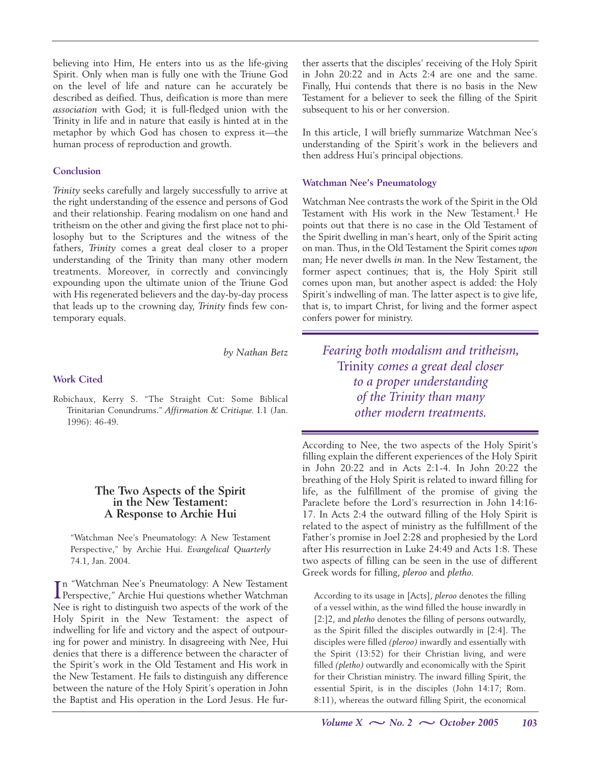believing into Him, He enters into us as the life-giving Spirit. Only when man is fully one with the Triune God on the level of life and nature can he accurately be described as deified. Thus, deification is more than mere *association* with God; it is full-fledged union with the Trinity in life and in nature that easily is hinted at in the metaphor by which God has chosen to express it—the human process of reproduction and growth.

#### **Conclusion**

*Trinity* seeks carefully and largely successfully to arrive at the right understanding of the essence and persons of God and their relationship. Fearing modalism on one hand and tritheism on the other and giving the first place not to philosophy but to the Scriptures and the witness of the fathers, *Trinity* comes a great deal closer to a proper understanding of the Trinity than many other modern treatments. Moreover, in correctly and convincingly expounding upon the ultimate union of the Triune God with His regenerated believers and the day-by-day process that leads up to the crowning day, *Trinity* finds few contemporary equals.

*by Nathan Betz*

#### **Work Cited**

Robichaux, Kerry S. "The Straight Cut: Some Biblical Trinitarian Conundrums." *Affirmation & Critique.* I.1 (Jan. 1996): 46-49.

#### **The Two Aspects of the Spirit in the New Testament: A Response to Archie Hui**

"Watchman Nee's Pneumatology: A New Testament Perspective," by Archie Hui. *Evangelical Quarterly* 74.1, Jan. 2004.

In "Watchman Nee's Pneumatology: A New Testament<br>Perspective," Archie Hui questions whether Watchman n "Watchman Nee's Pneumatology: A New Testament Nee is right to distinguish two aspects of the work of the Holy Spirit in the New Testament: the aspect of indwelling for life and victory and the aspect of outpouring for power and ministry. In disagreeing with Nee, Hui denies that there is a difference between the character of the Spirit's work in the Old Testament and His work in the New Testament. He fails to distinguish any difference between the nature of the Holy Spirit's operation in John the Baptist and His operation in the Lord Jesus. He further asserts that the disciples' receiving of the Holy Spirit in John 20:22 and in Acts 2:4 are one and the same. Finally, Hui contends that there is no basis in the New Testament for a believer to seek the filling of the Spirit subsequent to his or her conversion.

In this article, I will briefly summarize Watchman Nee's understanding of the Spirit's work in the believers and then address Hui's principal objections.

#### **Watchman Nee's Pneumatology**

Watchman Nee contrasts the work of the Spirit in the Old Testament with His work in the New Testament.<sup>1</sup> He points out that there is no case in the Old Testament of the Spirit dwelling in man's heart, only of the Spirit acting on man. Thus, in the Old Testament the Spirit comes *upon* man; He never dwells *in* man. In the New Testament, the former aspect continues; that is, the Holy Spirit still comes upon man, but another aspect is added: the Holy Spirit's indwelling of man. The latter aspect is to give life, that is, to impart Christ, for living and the former aspect confers power for ministry.

*Fearing both modalism and tritheism,* Trinity *comes a great deal closer to a proper understanding of the Trinity than many other modern treatments.*

According to Nee, the two aspects of the Holy Spirit's filling explain the different experiences of the Holy Spirit in John 20:22 and in Acts 2:1-4. In John 20:22 the breathing of the Holy Spirit is related to inward filling for life, as the fulfillment of the promise of giving the Paraclete before the Lord's resurrection in John 14:16- 17. In Acts 2:4 the outward filling of the Holy Spirit is related to the aspect of ministry as the fulfillment of the Father's promise in Joel 2:28 and prophesied by the Lord after His resurrection in Luke 24:49 and Acts 1:8. These two aspects of filling can be seen in the use of different Greek words for filling, *pleroo* and *pletho.*

According to its usage in [Acts], *pleroo* denotes the filling of a vessel within, as the wind filled the house inwardly in [2:]2, and *pletho* denotes the filling of persons outwardly, as the Spirit filled the disciples outwardly in [2:4]. The disciples were filled *(pleroo)* inwardly and essentially with the Spirit (13:52) for their Christian living, and were filled *(pletho)* outwardly and economically with the Spirit for their Christian ministry. The inward filling Spirit, the essential Spirit, is in the disciples (John 14:17; Rom. 8:11), whereas the outward filling Spirit, the economical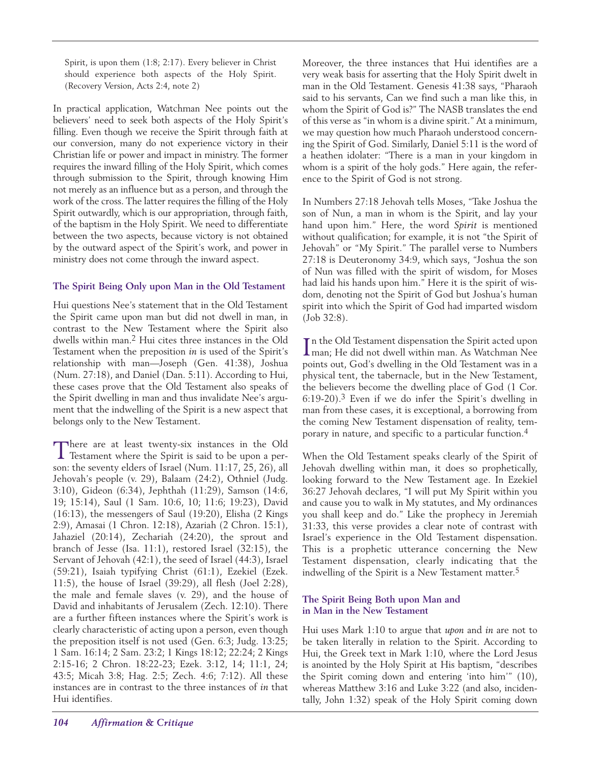Spirit, is upon them (1:8; 2:17). Every believer in Christ should experience both aspects of the Holy Spirit. (Recovery Version, Acts 2:4, note 2)

In practical application, Watchman Nee points out the believers' need to seek both aspects of the Holy Spirit's filling. Even though we receive the Spirit through faith at our conversion, many do not experience victory in their Christian life or power and impact in ministry. The former requires the inward filling of the Holy Spirit, which comes through submission to the Spirit, through knowing Him not merely as an influence but as a person, and through the work of the cross. The latter requires the filling of the Holy Spirit outwardly, which is our appropriation, through faith, of the baptism in the Holy Spirit. We need to differentiate between the two aspects, because victory is not obtained by the outward aspect of the Spirit's work, and power in ministry does not come through the inward aspect.

#### **The Spirit Being Only upon Man in the Old Testament**

Hui questions Nee's statement that in the Old Testament the Spirit came upon man but did not dwell in man, in contrast to the New Testament where the Spirit also dwells within man.2 Hui cites three instances in the Old Testament when the preposition *in* is used of the Spirit's relationship with man—Joseph (Gen. 41:38), Joshua (Num. 27:18), and Daniel (Dan. 5:11). According to Hui, these cases prove that the Old Testament also speaks of the Spirit dwelling in man and thus invalidate Nee's argument that the indwelling of the Spirit is a new aspect that belongs only to the New Testament.

There are at least twenty-six instances in the Old<br>Testament where the Spirit is said to be upon a person: the seventy elders of Israel (Num. 11:17, 25, 26), all Jehovah's people (v. 29), Balaam (24:2), Othniel (Judg. 3:10), Gideon (6:34), Jephthah (11:29), Samson (14:6, 19; 15:14), Saul (1 Sam. 10:6, 10; 11:6; 19:23), David (16:13), the messengers of Saul (19:20), Elisha (2 Kings 2:9), Amasai (1 Chron. 12:18), Azariah (2 Chron. 15:1), Jahaziel (20:14), Zechariah (24:20), the sprout and branch of Jesse (Isa. 11:1), restored Israel (32:15), the Servant of Jehovah (42:1), the seed of Israel (44:3), Israel (59:21), Isaiah typifying Christ (61:1), Ezekiel (Ezek. 11:5), the house of Israel (39:29), all flesh (Joel 2:28), the male and female slaves (v. 29), and the house of David and inhabitants of Jerusalem (Zech. 12:10). There are a further fifteen instances where the Spirit's work is clearly characteristic of acting upon a person, even though the preposition itself is not used (Gen. 6:3; Judg. 13:25; 1 Sam. 16:14; 2 Sam. 23:2; 1 Kings 18:12; 22:24; 2 Kings 2:15-16; 2 Chron. 18:22-23; Ezek. 3:12, 14; 11:1, 24; 43:5; Micah 3:8; Hag. 2:5; Zech. 4:6; 7:12). All these instances are in contrast to the three instances of *in* that Hui identifies.

Moreover, the three instances that Hui identifies are a very weak basis for asserting that the Holy Spirit dwelt in man in the Old Testament. Genesis 41:38 says, "Pharaoh said to his servants, Can we find such a man like this, in whom the Spirit of God is?" The NASB translates the end of this verse as "in whom is a divine spirit." At a minimum, we may question how much Pharaoh understood concerning the Spirit of God. Similarly, Daniel 5:11 is the word of a heathen idolater: "There is a man in your kingdom in whom is a spirit of the holy gods." Here again, the reference to the Spirit of God is not strong.

In Numbers 27:18 Jehovah tells Moses, "Take Joshua the son of Nun, a man in whom is the Spirit, and lay your hand upon him." Here, the word *Spirit* is mentioned without qualification; for example, it is not "the Spirit of Jehovah" or "My Spirit." The parallel verse to Numbers 27:18 is Deuteronomy 34:9, which says, "Joshua the son of Nun was filled with the spirit of wisdom, for Moses had laid his hands upon him." Here it is the spirit of wisdom, denoting not the Spirit of God but Joshua's human spirit into which the Spirit of God had imparted wisdom (Job 32:8).

In the Old Testament dispensation the Spirit acted upon<br>Iman; He did not dwell within man. As Watchman Nee man; He did not dwell within man. As Watchman Nee points out, God's dwelling in the Old Testament was in a physical tent, the tabernacle, but in the New Testament, the believers become the dwelling place of God (1 Cor. 6:19-20).3 Even if we do infer the Spirit's dwelling in man from these cases, it is exceptional, a borrowing from the coming New Testament dispensation of reality, temporary in nature, and specific to a particular function.4

When the Old Testament speaks clearly of the Spirit of Jehovah dwelling within man, it does so prophetically, looking forward to the New Testament age. In Ezekiel 36:27 Jehovah declares, "I will put My Spirit within you and cause you to walk in My statutes, and My ordinances you shall keep and do." Like the prophecy in Jeremiah 31:33, this verse provides a clear note of contrast with Israel's experience in the Old Testament dispensation. This is a prophetic utterance concerning the New Testament dispensation, clearly indicating that the indwelling of the Spirit is a New Testament matter.<sup>5</sup>

#### **The Spirit Being Both upon Man and in Man in the New Testament**

Hui uses Mark 1:10 to argue that *upon* and *in* are not to be taken literally in relation to the Spirit. According to Hui, the Greek text in Mark 1:10, where the Lord Jesus is anointed by the Holy Spirit at His baptism, "describes the Spirit coming down and entering 'into him'" (10), whereas Matthew 3:16 and Luke 3:22 (and also, incidentally, John 1:32) speak of the Holy Spirit coming down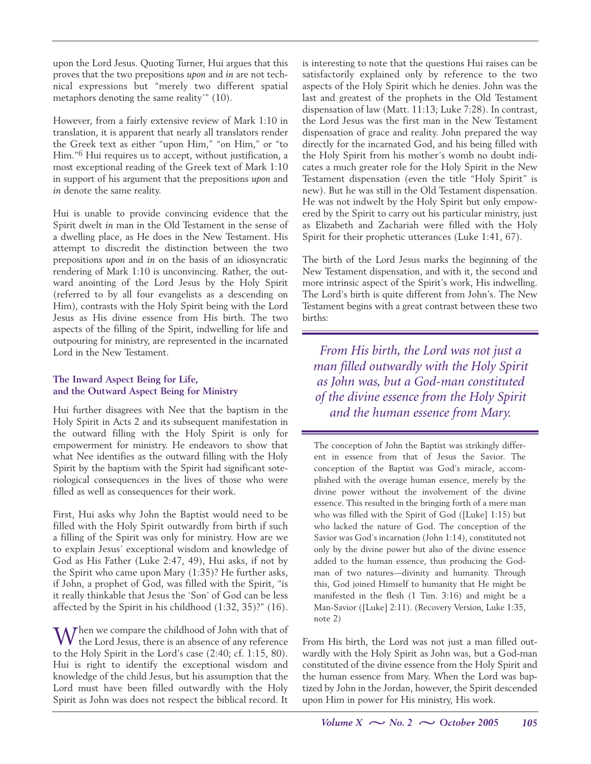upon the Lord Jesus. Quoting Turner, Hui argues that this proves that the two prepositions *upon* and *in* are not technical expressions but "merely two different spatial metaphors denoting the same reality'" (10).

However, from a fairly extensive review of Mark 1:10 in translation, it is apparent that nearly all translators render the Greek text as either "upon Him," "on Him," or "to Him."6 Hui requires us to accept, without justification, a most exceptional reading of the Greek text of Mark 1:10 in support of his argument that the prepositions *upon* and *in* denote the same reality.

Hui is unable to provide convincing evidence that the Spirit dwelt *in* man in the Old Testament in the sense of a dwelling place, as He does in the New Testament. His attempt to discredit the distinction between the two prepositions *upon* and *in* on the basis of an idiosyncratic rendering of Mark 1:10 is unconvincing. Rather, the outward anointing of the Lord Jesus by the Holy Spirit (referred to by all four evangelists as a descending on Him), contrasts with the Holy Spirit being with the Lord Jesus as His divine essence from His birth. The two aspects of the filling of the Spirit, indwelling for life and outpouring for ministry, are represented in the incarnated Lord in the New Testament.

# **The Inward Aspect Being for Life, and the Outward Aspect Being for Ministry**

Hui further disagrees with Nee that the baptism in the Holy Spirit in Acts 2 and its subsequent manifestation in the outward filling with the Holy Spirit is only for empowerment for ministry. He endeavors to show that what Nee identifies as the outward filling with the Holy Spirit by the baptism with the Spirit had significant soteriological consequences in the lives of those who were filled as well as consequences for their work.

First, Hui asks why John the Baptist would need to be filled with the Holy Spirit outwardly from birth if such a filling of the Spirit was only for ministry. How are we to explain Jesus' exceptional wisdom and knowledge of God as His Father (Luke 2:47, 49), Hui asks, if not by the Spirit who came upon Mary (1:35)? He further asks, if John, a prophet of God, was filled with the Spirit, "is it really thinkable that Jesus the 'Son' of God can be less affected by the Spirit in his childhood (1:32, 35)?" (16).

When we compare the childhood of John with that of the Lord Jesus, there is an absence of any reference to the Holy Spirit in the Lord's case (2:40; cf. 1:15, 80). Hui is right to identify the exceptional wisdom and knowledge of the child Jesus, but his assumption that the Lord must have been filled outwardly with the Holy Spirit as John was does not respect the biblical record. It

is interesting to note that the questions Hui raises can be satisfactorily explained only by reference to the two aspects of the Holy Spirit which he denies. John was the last and greatest of the prophets in the Old Testament dispensation of law (Matt. 11:13; Luke 7:28). In contrast, the Lord Jesus was the first man in the New Testament dispensation of grace and reality. John prepared the way directly for the incarnated God, and his being filled with the Holy Spirit from his mother's womb no doubt indicates a much greater role for the Holy Spirit in the New Testament dispensation (even the title "Holy Spirit" is new). But he was still in the Old Testament dispensation. He was not indwelt by the Holy Spirit but only empowered by the Spirit to carry out his particular ministry, just as Elizabeth and Zachariah were filled with the Holy Spirit for their prophetic utterances (Luke 1:41, 67).

The birth of the Lord Jesus marks the beginning of the New Testament dispensation, and with it, the second and more intrinsic aspect of the Spirit's work, His indwelling. The Lord's birth is quite different from John's. The New Testament begins with a great contrast between these two births:

*From His birth, the Lord was not just a man filled outwardly with the Holy Spirit as John was, but a God-man constituted of the divine essence from the Holy Spirit and the human essence from Mary.*

The conception of John the Baptist was strikingly different in essence from that of Jesus the Savior. The conception of the Baptist was God's miracle, accomplished with the overage human essence, merely by the divine power without the involvement of the divine essence. This resulted in the bringing forth of a mere man who was filled with the Spirit of God ([Luke] 1:15) but who lacked the nature of God. The conception of the Savior was God's incarnation (John 1:14), constituted not only by the divine power but also of the divine essence added to the human essence, thus producing the Godman of two natures—divinity and humanity. Through this, God joined Himself to humanity that He might be manifested in the flesh (1 Tim. 3:16) and might be a Man-Savior ([Luke] 2:11). (Recovery Version, Luke 1:35, note 2)

From His birth, the Lord was not just a man filled outwardly with the Holy Spirit as John was, but a God-man constituted of the divine essence from the Holy Spirit and the human essence from Mary. When the Lord was baptized by John in the Jordan, however, the Spirit descended upon Him in power for His ministry, His work.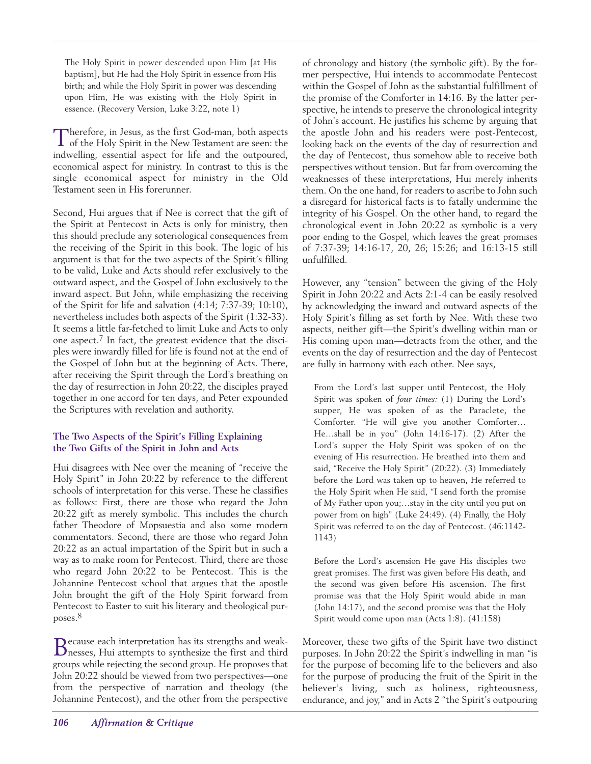The Holy Spirit in power descended upon Him [at His baptism], but He had the Holy Spirit in essence from His birth; and while the Holy Spirit in power was descending upon Him, He was existing with the Holy Spirit in essence. (Recovery Version, Luke 3:22, note 1)

Therefore, in Jesus, as the first God-man, both aspects<br>of the Holy Spirit in the New Testament are seen: the indwelling, essential aspect for life and the outpoured, economical aspect for ministry. In contrast to this is the single economical aspect for ministry in the Old Testament seen in His forerunner.

Second, Hui argues that if Nee is correct that the gift of the Spirit at Pentecost in Acts is only for ministry, then this should preclude any soteriological consequences from the receiving of the Spirit in this book. The logic of his argument is that for the two aspects of the Spirit's filling to be valid, Luke and Acts should refer exclusively to the outward aspect, and the Gospel of John exclusively to the inward aspect. But John, while emphasizing the receiving of the Spirit for life and salvation (4:14; 7:37-39; 10:10), nevertheless includes both aspects of the Spirit (1:32-33). It seems a little far-fetched to limit Luke and Acts to only one aspect. $7$  In fact, the greatest evidence that the disciples were inwardly filled for life is found not at the end of the Gospel of John but at the beginning of Acts. There, after receiving the Spirit through the Lord's breathing on the day of resurrection in John 20:22, the disciples prayed together in one accord for ten days, and Peter expounded the Scriptures with revelation and authority.

# **The Two Aspects of the Spirit's Filling Explaining the Two Gifts of the Spirit in John and Acts**

Hui disagrees with Nee over the meaning of "receive the Holy Spirit" in John 20:22 by reference to the different schools of interpretation for this verse. These he classifies as follows: First, there are those who regard the John 20:22 gift as merely symbolic. This includes the church father Theodore of Mopsuestia and also some modern commentators. Second, there are those who regard John 20:22 as an actual impartation of the Spirit but in such a way as to make room for Pentecost. Third, there are those who regard John 20:22 to be Pentecost. This is the Johannine Pentecost school that argues that the apostle John brought the gift of the Holy Spirit forward from Pentecost to Easter to suit his literary and theological purposes.8

Because each interpretation has its strengths and weak-nesses, Hui attempts to synthesize the first and third groups while rejecting the second group. He proposes that John 20:22 should be viewed from two perspectives—one from the perspective of narration and theology (the Johannine Pentecost), and the other from the perspective

of chronology and history (the symbolic gift). By the former perspective, Hui intends to accommodate Pentecost within the Gospel of John as the substantial fulfillment of the promise of the Comforter in 14:16. By the latter perspective, he intends to preserve the chronological integrity of John's account. He justifies his scheme by arguing that the apostle John and his readers were post-Pentecost, looking back on the events of the day of resurrection and the day of Pentecost, thus somehow able to receive both perspectives without tension. But far from overcoming the weaknesses of these interpretations, Hui merely inherits them. On the one hand, for readers to ascribe to John such a disregard for historical facts is to fatally undermine the integrity of his Gospel. On the other hand, to regard the chronological event in John 20:22 as symbolic is a very poor ending to the Gospel, which leaves the great promises of 7:37-39; 14:16-17, 20, 26; 15:26; and 16:13-15 still unfulfilled.

However, any "tension" between the giving of the Holy Spirit in John 20:22 and Acts 2:1-4 can be easily resolved by acknowledging the inward and outward aspects of the Holy Spirit's filling as set forth by Nee. With these two aspects, neither gift—the Spirit's dwelling within man or His coming upon man—detracts from the other, and the events on the day of resurrection and the day of Pentecost are fully in harmony with each other. Nee says,

From the Lord's last supper until Pentecost, the Holy Spirit was spoken of *four times:* (1) During the Lord's supper, He was spoken of as the Paraclete, the Comforter. "He will give you another Comforter… He…shall be in you" (John 14:16-17). (2) After the Lord's supper the Holy Spirit was spoken of on the evening of His resurrection. He breathed into them and said, "Receive the Holy Spirit" (20:22). (3) Immediately before the Lord was taken up to heaven, He referred to the Holy Spirit when He said, "I send forth the promise of My Father upon you;…stay in the city until you put on power from on high" (Luke 24:49). (4) Finally, the Holy Spirit was referred to on the day of Pentecost. (46:1142- 1143)

Before the Lord's ascension He gave His disciples two great promises. The first was given before His death, and the second was given before His ascension. The first promise was that the Holy Spirit would abide in man (John 14:17), and the second promise was that the Holy Spirit would come upon man (Acts 1:8). (41:158)

Moreover, these two gifts of the Spirit have two distinct purposes. In John 20:22 the Spirit's indwelling in man "is for the purpose of becoming life to the believers and also for the purpose of producing the fruit of the Spirit in the believer's living, such as holiness, righteousness, endurance, and joy," and in Acts 2 "the Spirit's outpouring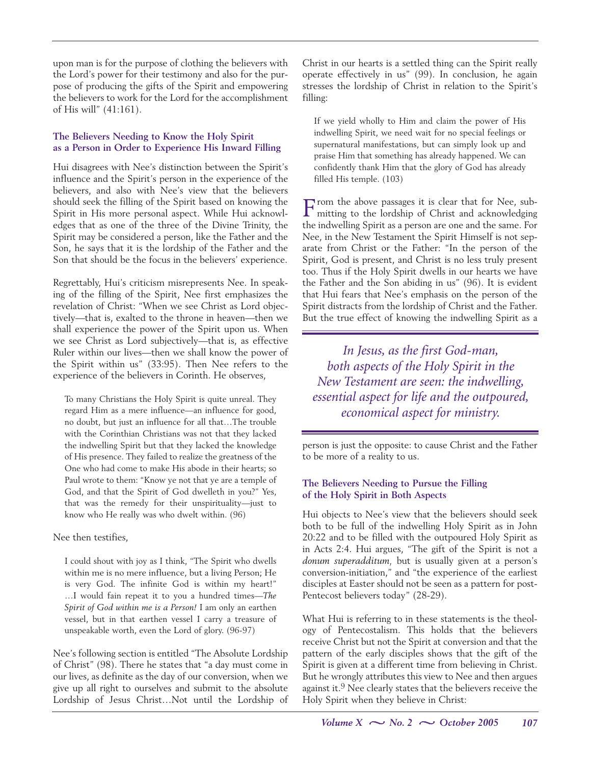upon man is for the purpose of clothing the believers with the Lord's power for their testimony and also for the purpose of producing the gifts of the Spirit and empowering the believers to work for the Lord for the accomplishment of His will" (41:161).

#### **The Believers Needing to Know the Holy Spirit as a Person in Order to Experience His Inward Filling**

Hui disagrees with Nee's distinction between the Spirit's influence and the Spirit's person in the experience of the believers, and also with Nee's view that the believers should seek the filling of the Spirit based on knowing the Spirit in His more personal aspect. While Hui acknowledges that as one of the three of the Divine Trinity, the Spirit may be considered a person, like the Father and the Son, he says that it is the lordship of the Father and the Son that should be the focus in the believers' experience.

Regrettably, Hui's criticism misrepresents Nee. In speaking of the filling of the Spirit, Nee first emphasizes the revelation of Christ: "When we see Christ as Lord objectively—that is, exalted to the throne in heaven—then we shall experience the power of the Spirit upon us. When we see Christ as Lord subjectively—that is, as effective Ruler within our lives—then we shall know the power of the Spirit within us" (33:95). Then Nee refers to the experience of the believers in Corinth. He observes,

To many Christians the Holy Spirit is quite unreal. They regard Him as a mere influence—an influence for good, no doubt, but just an influence for all that…The trouble with the Corinthian Christians was not that they lacked the indwelling Spirit but that they lacked the knowledge of His presence. They failed to realize the greatness of the One who had come to make His abode in their hearts; so Paul wrote to them: "Know ye not that ye are a temple of God, and that the Spirit of God dwelleth in you?" Yes, that was the remedy for their unspirituality—just to know who He really was who dwelt within. (96)

Nee then testifies,

I could shout with joy as I think, "The Spirit who dwells within me is no mere influence, but a living Person; He is very God. The infinite God is within my heart!" …I would fain repeat it to you a hundred times—*The Spirit of God within me is a Person!* I am only an earthen vessel, but in that earthen vessel I carry a treasure of unspeakable worth, even the Lord of glory. (96-97)

Nee's following section is entitled "The Absolute Lordship of Christ" (98). There he states that "a day must come in our lives, as definite as the day of our conversion, when we give up all right to ourselves and submit to the absolute Lordship of Jesus Christ…Not until the Lordship of

Christ in our hearts is a settled thing can the Spirit really operate effectively in us" (99). In conclusion, he again stresses the lordship of Christ in relation to the Spirit's filling:

If we yield wholly to Him and claim the power of His indwelling Spirit, we need wait for no special feelings or supernatural manifestations, but can simply look up and praise Him that something has already happened. We can confidently thank Him that the glory of God has already filled His temple. (103)

From the above passages it is clear that for Nee, sub-mitting to the lordship of Christ and acknowledging the indwelling Spirit as a person are one and the same. For Nee, in the New Testament the Spirit Himself is not separate from Christ or the Father: "In the person of the Spirit, God is present, and Christ is no less truly present too. Thus if the Holy Spirit dwells in our hearts we have the Father and the Son abiding in us" (96). It is evident that Hui fears that Nee's emphasis on the person of the Spirit distracts from the lordship of Christ and the Father. But the true effect of knowing the indwelling Spirit as a

*In Jesus, as the first God-man, both aspects of the Holy Spirit in the New Testament are seen: the indwelling, essential aspect for life and the outpoured, economical aspect for ministry.*

person is just the opposite: to cause Christ and the Father to be more of a reality to us.

# **The Believers Needing to Pursue the Filling of the Holy Spirit in Both Aspects**

Hui objects to Nee's view that the believers should seek both to be full of the indwelling Holy Spirit as in John 20:22 and to be filled with the outpoured Holy Spirit as in Acts 2:4. Hui argues, "The gift of the Spirit is not a *donum superadditum,* but is usually given at a person's conversion-initiation," and "the experience of the earliest disciples at Easter should not be seen as a pattern for post-Pentecost believers today" (28-29).

What Hui is referring to in these statements is the theology of Pentecostalism. This holds that the believers receive Christ but not the Spirit at conversion and that the pattern of the early disciples shows that the gift of the Spirit is given at a different time from believing in Christ. But he wrongly attributes this view to Nee and then argues against it.<sup>9</sup> Nee clearly states that the believers receive the Holy Spirit when they believe in Christ: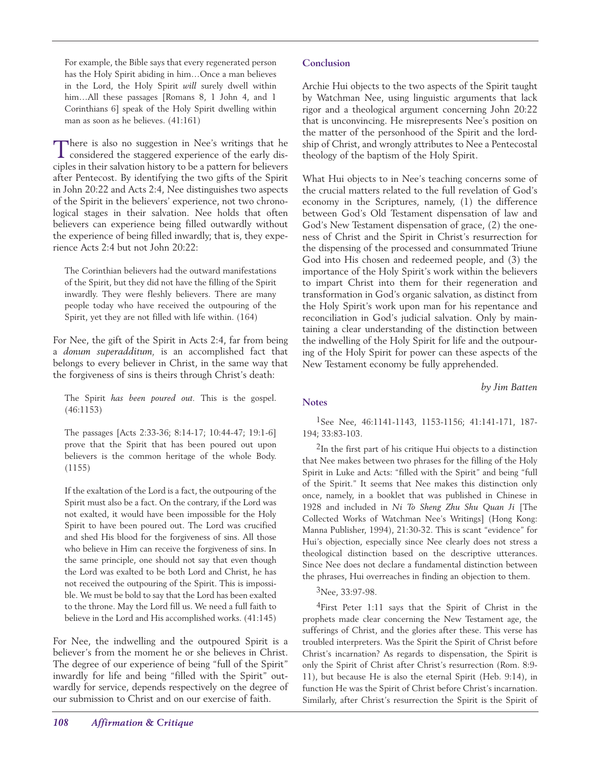For example, the Bible says that every regenerated person has the Holy Spirit abiding in him…Once a man believes in the Lord, the Holy Spirit *will* surely dwell within him…All these passages [Romans 8, 1 John 4, and 1 Corinthians 6] speak of the Holy Spirit dwelling within man as soon as he believes. (41:161)

There is also no suggestion in Nee's writings that he considered the staggered experience of the early disciples in their salvation history to be a pattern for believers after Pentecost. By identifying the two gifts of the Spirit in John 20:22 and Acts 2:4, Nee distinguishes two aspects of the Spirit in the believers' experience, not two chronological stages in their salvation. Nee holds that often believers can experience being filled outwardly without the experience of being filled inwardly; that is, they experience Acts 2:4 but not John 20:22:

The Corinthian believers had the outward manifestations of the Spirit, but they did not have the filling of the Spirit inwardly. They were fleshly believers. There are many people today who have received the outpouring of the Spirit, yet they are not filled with life within. (164)

For Nee, the gift of the Spirit in Acts 2:4, far from being a *donum superadditum,* is an accomplished fact that belongs to every believer in Christ, in the same way that the forgiveness of sins is theirs through Christ's death:

The Spirit *has been poured out.* This is the gospel. (46:1153)

The passages [Acts 2:33-36; 8:14-17; 10:44-47; 19:1-6] prove that the Spirit that has been poured out upon believers is the common heritage of the whole Body. (1155)

If the exaltation of the Lord is a fact, the outpouring of the Spirit must also be a fact. On the contrary, if the Lord was not exalted, it would have been impossible for the Holy Spirit to have been poured out. The Lord was crucified and shed His blood for the forgiveness of sins. All those who believe in Him can receive the forgiveness of sins. In the same principle, one should not say that even though the Lord was exalted to be both Lord and Christ, he has not received the outpouring of the Spirit. This is impossible. We must be bold to say that the Lord has been exalted to the throne. May the Lord fill us. We need a full faith to believe in the Lord and His accomplished works. (41:145)

For Nee, the indwelling and the outpoured Spirit is a believer's from the moment he or she believes in Christ. The degree of our experience of being "full of the Spirit" inwardly for life and being "filled with the Spirit" outwardly for service, depends respectively on the degree of our submission to Christ and on our exercise of faith.

Archie Hui objects to the two aspects of the Spirit taught by Watchman Nee, using linguistic arguments that lack rigor and a theological argument concerning John 20:22 that is unconvincing. He misrepresents Nee's position on the matter of the personhood of the Spirit and the lordship of Christ, and wrongly attributes to Nee a Pentecostal theology of the baptism of the Holy Spirit.

What Hui objects to in Nee's teaching concerns some of the crucial matters related to the full revelation of God's economy in the Scriptures, namely, (1) the difference between God's Old Testament dispensation of law and God's New Testament dispensation of grace, (2) the oneness of Christ and the Spirit in Christ's resurrection for the dispensing of the processed and consummated Triune God into His chosen and redeemed people, and (3) the importance of the Holy Spirit's work within the believers to impart Christ into them for their regeneration and transformation in God's organic salvation, as distinct from the Holy Spirit's work upon man for his repentance and reconciliation in God's judicial salvation. Only by maintaining a clear understanding of the distinction between the indwelling of the Holy Spirit for life and the outpouring of the Holy Spirit for power can these aspects of the New Testament economy be fully apprehended.

*by Jim Batten*

# **Notes**

1See Nee, 46:1141-1143, 1153-1156; 41:141-171, 187- 194; 33:83-103.

2In the first part of his critique Hui objects to a distinction that Nee makes between two phrases for the filling of the Holy Spirit in Luke and Acts: "filled with the Spirit" and being "full of the Spirit." It seems that Nee makes this distinction only once, namely, in a booklet that was published in Chinese in 1928 and included in *Ni To Sheng Zhu Shu Quan Ji* [The Collected Works of Watchman Nee's Writings] (Hong Kong: Manna Publisher, 1994), 21:30-32. This is scant "evidence" for Hui's objection, especially since Nee clearly does not stress a theological distinction based on the descriptive utterances. Since Nee does not declare a fundamental distinction between the phrases, Hui overreaches in finding an objection to them.

3Nee, 33:97-98.

4First Peter 1:11 says that the Spirit of Christ in the prophets made clear concerning the New Testament age, the sufferings of Christ, and the glories after these. This verse has troubled interpreters. Was the Spirit the Spirit of Christ before Christ's incarnation? As regards to dispensation, the Spirit is only the Spirit of Christ after Christ's resurrection (Rom. 8:9- 11), but because He is also the eternal Spirit (Heb. 9:14), in function He was the Spirit of Christ before Christ's incarnation. Similarly, after Christ's resurrection the Spirit is the Spirit of